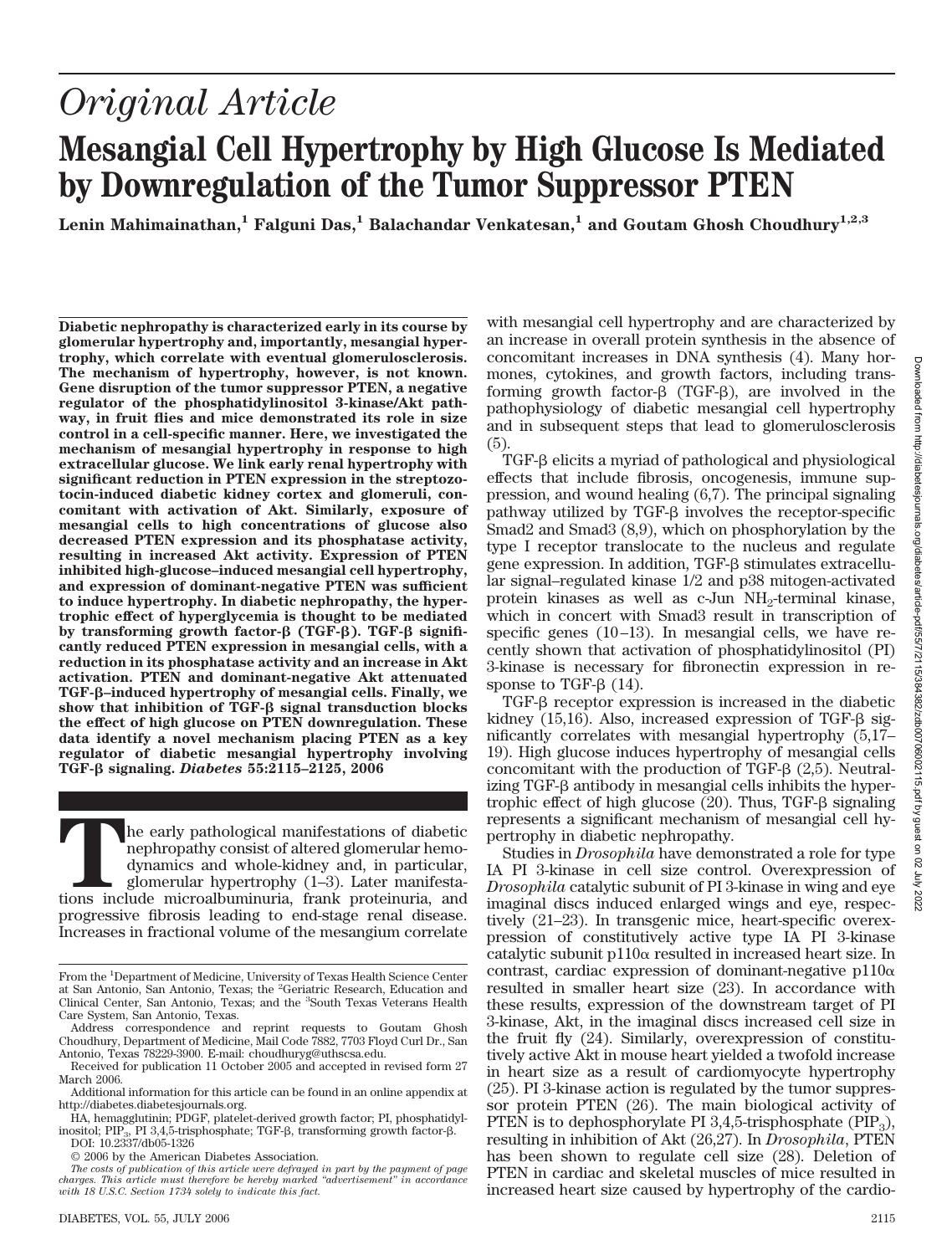χiυ

# *Original Article* **Mesangial Cell Hypertrophy by High Glucose Is Mediated by Downregulation of the Tumor Suppressor PTEN**

Lenin Mahimainathan,<sup>1</sup> **Falguni Das,<sup>1</sup> Balachandar Venkatesan,<sup>1</sup> and Goutam Ghosh Choudhury<sup>1,2,3</sup>** 

**Diabetic nephropathy is characterized early in its course by glomerular hypertrophy and, importantly, mesangial hypertrophy, which correlate with eventual glomerulosclerosis. The mechanism of hypertrophy, however, is not known. Gene disruption of the tumor suppressor PTEN, a negative regulator of the phosphatidylinositol 3-kinase/Akt pathway, in fruit flies and mice demonstrated its role in size control in a cell-specific manner. Here, we investigated the mechanism of mesangial hypertrophy in response to high extracellular glucose. We link early renal hypertrophy with significant reduction in PTEN expression in the streptozotocin-induced diabetic kidney cortex and glomeruli, concomitant with activation of Akt. Similarly, exposure of mesangial cells to high concentrations of glucose also decreased PTEN expression and its phosphatase activity, resulting in increased Akt activity. Expression of PTEN inhibited high-glucose–induced mesangial cell hypertrophy, and expression of dominant-negative PTEN was sufficient to induce hypertrophy. In diabetic nephropathy, the hypertrophic effect of hyperglycemia is thought to be mediated** by transforming growth factor- $\beta$  (TGF- $\beta$ ). TGF- $\beta$  signifi**cantly reduced PTEN expression in mesangial cells, with a reduction in its phosphatase activity and an increase in Akt activation. PTEN and dominant-negative Akt attenuated TGF-–induced hypertrophy of mesangial cells. Finally, we** show that inhibition of TGF- $\beta$  signal transduction blocks **the effect of high glucose on PTEN downregulation. These data identify a novel mechanism placing PTEN as a key regulator of diabetic mesangial hypertrophy involving TGF- signaling.** *Diabetes* **55:2115–2125, 2006**

The early pathological manifestations of diabetic<br>tions include microalbuminuria, in particular,<br>glomerular hypertrophy (1–3). Later manifesta-<br>tions include microalbuminuria, frank proteinuria, and nephropathy consist of altered glomerular hemodynamics and whole-kidney and, in particular, glomerular hypertrophy (1–3). Later manifestaprogressive fibrosis leading to end-stage renal disease. Increases in fractional volume of the mesangium correlate

with mesangial cell hypertrophy and are characterized by an increase in overall protein synthesis in the absence of concomitant increases in DNA synthesis (4). Many hormones, cytokines, and growth factors, including transforming growth factor- $\beta$  (TGF- $\beta$ ), are involved in the pathophysiology of diabetic mesangial cell hypertrophy and in subsequent steps that lead to glomerulosclerosis (5).

TGF-<sub>B</sub> elicits a myriad of pathological and physiological effects that include fibrosis, oncogenesis, immune suppression, and wound healing (6,7). The principal signaling pathway utilized by  $TGF- $\beta$  involves the receptor-specific$ Smad2 and Smad3 (8,9), which on phosphorylation by the type I receptor translocate to the nucleus and regulate gene expression. In addition,  $TGF- $\beta$  stimuluses extracellular$ lar signal–regulated kinase 1/2 and p38 mitogen-activated protein kinases as well as c-Jun NH<sub>2</sub>-terminal kinase, which in concert with Smad3 result in transcription of specific genes (10–13). In mesangial cells, we have recently shown that activation of phosphatidylinositol (PI) 3-kinase is necessary for fibronectin expression in response to TGF- $\beta$  (14).

 $TGF-B$  receptor expression is increased in the diabetic kidney  $(15,16)$ . Also, increased expression of TGF- $\beta$  significantly correlates with mesangial hypertrophy (5,17– 19). High glucose induces hypertrophy of mesangial cells concomitant with the production of TGF- $\beta$  (2,5). Neutralizing TGF-β antibody in mesangial cells inhibits the hypertrophic effect of high glucose  $(20)$ . Thus, TGF- $\beta$  signaling represents a significant mechanism of mesangial cell hypertrophy in diabetic nephropathy.

Studies in *Drosophila* have demonstrated a role for type IA PI 3-kinase in cell size control. Overexpression of *Drosophila* catalytic subunit of PI 3-kinase in wing and eye imaginal discs induced enlarged wings and eye, respectively (21–23). In transgenic mice, heart-specific overexpression of constitutively active type IA PI 3-kinase catalytic subunit  $p110\alpha$  resulted in increased heart size. In contrast, cardiac expression of dominant-negative  $p110\alpha$ resulted in smaller heart size (23). In accordance with these results, expression of the downstream target of PI 3-kinase, Akt, in the imaginal discs increased cell size in the fruit fly (24). Similarly, overexpression of constitutively active Akt in mouse heart yielded a twofold increase in heart size as a result of cardiomyocyte hypertrophy (25). PI 3-kinase action is regulated by the tumor suppressor protein PTEN (26). The main biological activity of PTEN is to dephosphorylate PI  $3,4,5$ -trisphosphate (PIP<sub>3</sub>), resulting in inhibition of Akt (26,27). In *Drosophila*, PTEN has been shown to regulate cell size (28). Deletion of PTEN in cardiac and skeletal muscles of mice resulted in increased heart size caused by hypertrophy of the cardio-

From the <sup>1</sup>Department of Medicine, University of Texas Health Science Center at San Antonio, San Antonio, Texas; the <sup>2</sup>Geriatric Research, Education and Clinical Center, San Antonio, Texas; and the <sup>3</sup> South Texas Veterans Health Care System, San Antonio, Texas.

Address correspondence and reprint requests to Goutam Ghosh Choudhury, Department of Medicine, Mail Code 7882, 7703 Floyd Curl Dr., San Antonio, Texas 78229-3900. E-mail: choudhuryg@uthscsa.edu.

Received for publication 11 October 2005 and accepted in revised form 27 March 2006.

Additional information for this article can be found in an online appendix at http://diabetes.diabetesjournals.org.

HA, hemagglutinin; PDGF, platelet-derived growth factor; PI, phosphatidylinositol; PIP<sub>3</sub>, PI 3,4,5-trisphosphate; TGF- $\beta$ , transforming growth factor- $\beta$ .

DOI: 10.2337/db05-1326

<sup>© 2006</sup> by the American Diabetes Association.

*The costs of publication of this article were defrayed in part by the payment of page charges. This article must therefore be hereby marked "advertisement" in accordance with 18 U.S.C. Section 1734 solely to indicate this fact.*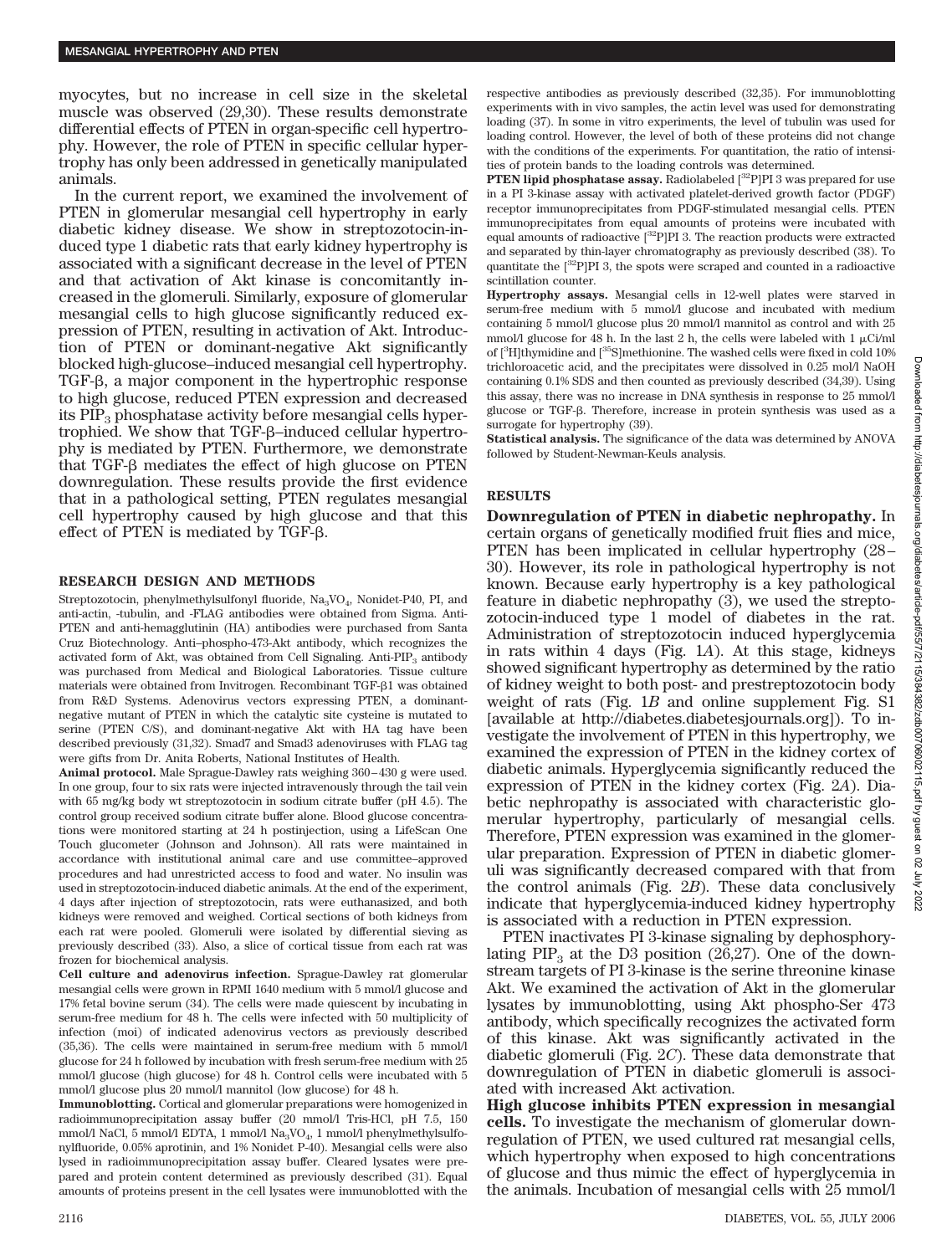myocytes, but no increase in cell size in the skeletal muscle was observed (29,30). These results demonstrate differential effects of PTEN in organ-specific cell hypertrophy. However, the role of PTEN in specific cellular hypertrophy has only been addressed in genetically manipulated animals.

In the current report, we examined the involvement of PTEN in glomerular mesangial cell hypertrophy in early diabetic kidney disease. We show in streptozotocin-induced type 1 diabetic rats that early kidney hypertrophy is associated with a significant decrease in the level of PTEN and that activation of Akt kinase is concomitantly increased in the glomeruli. Similarly, exposure of glomerular mesangial cells to high glucose significantly reduced expression of PTEN, resulting in activation of Akt. Introduction of PTEN or dominant-negative Akt significantly blocked high-glucose–induced mesangial cell hypertrophy. TGF- $\beta$ , a major component in the hypertrophic response to high glucose, reduced PTEN expression and decreased its  $PIP<sub>3</sub>$  phosphatase activity before mesangial cells hypertrophied. We show that TGF- $\beta$ –induced cellular hypertrophy is mediated by PTEN. Furthermore, we demonstrate that  $TGF- $\beta$  mediates the effect of high glucose on PTEN$ downregulation. These results provide the first evidence that in a pathological setting, PTEN regulates mesangial cell hypertrophy caused by high glucose and that this effect of PTEN is mediated by  $TGF- $\beta$ .$ 

### **RESEARCH DESIGN AND METHODS**

Streptozotocin, phenylmethylsulfonyl fluoride, Na<sub>3</sub>VO<sub>4</sub>, Nonidet-P40, PI, and anti-actin, -tubulin, and -FLAG antibodies were obtained from Sigma. Anti-PTEN and anti-hemagglutinin (HA) antibodies were purchased from Santa Cruz Biotechnology. Anti–phospho-473-Akt antibody, which recognizes the activated form of Akt, was obtained from Cell Signaling. Anti-PIP<sub>3</sub> antibody was purchased from Medical and Biological Laboratories. Tissue culture materials were obtained from Invitrogen. Recombinant TGF- $\beta$ 1 was obtained from R&D Systems. Adenovirus vectors expressing PTEN, a dominantnegative mutant of PTEN in which the catalytic site cysteine is mutated to serine (PTEN C/S), and dominant-negative Akt with HA tag have been described previously (31,32). Smad7 and Smad3 adenoviruses with FLAG tag were gifts from Dr. Anita Roberts, National Institutes of Health.

**Animal protocol.** Male Sprague-Dawley rats weighing 360–430 g were used. In one group, four to six rats were injected intravenously through the tail vein with 65 mg/kg body wt streptozotocin in sodium citrate buffer (pH 4.5). The control group received sodium citrate buffer alone. Blood glucose concentrations were monitored starting at 24 h postinjection, using a LifeScan One Touch glucometer (Johnson and Johnson). All rats were maintained in accordance with institutional animal care and use committee–approved procedures and had unrestricted access to food and water. No insulin was used in streptozotocin-induced diabetic animals. At the end of the experiment, 4 days after injection of streptozotocin, rats were euthanasized, and both kidneys were removed and weighed. Cortical sections of both kidneys from each rat were pooled. Glomeruli were isolated by differential sieving as previously described (33). Also, a slice of cortical tissue from each rat was frozen for biochemical analysis.

**Cell culture and adenovirus infection.** Sprague-Dawley rat glomerular mesangial cells were grown in RPMI 1640 medium with 5 mmol/l glucose and 17% fetal bovine serum (34). The cells were made quiescent by incubating in serum-free medium for 48 h. The cells were infected with 50 multiplicity of infection (moi) of indicated adenovirus vectors as previously described (35,36). The cells were maintained in serum-free medium with 5 mmol/l glucose for 24 h followed by incubation with fresh serum-free medium with 25 mmol/l glucose (high glucose) for 48 h. Control cells were incubated with 5 mmol/l glucose plus 20 mmol/l mannitol (low glucose) for 48 h.

**Immunoblotting.** Cortical and glomerular preparations were homogenized in radioimmunoprecipitation assay buffer (20 mmol/l Tris-HCl, pH 7.5, 150 mmol/l NaCl, 5 mmol/l EDTA, 1 mmol/l Na<sub>3</sub>VO<sub>4</sub>, 1 mmol/l phenylmethylsulfonylfluoride, 0.05% aprotinin, and 1% Nonidet P-40). Mesangial cells were also lysed in radioimmunoprecipitation assay buffer. Cleared lysates were prepared and protein content determined as previously described (31). Equal amounts of proteins present in the cell lysates were immunoblotted with the respective antibodies as previously described (32,35). For immunoblotting experiments with in vivo samples, the actin level was used for demonstrating loading (37). In some in vitro experiments, the level of tubulin was used for loading control. However, the level of both of these proteins did not change with the conditions of the experiments. For quantitation, the ratio of intensities of protein bands to the loading controls was determined.

**PTEN lipid phosphatase assay.** Radiolabeled [<sup>32</sup>P]PI 3 was prepared for use in a PI 3-kinase assay with activated platelet-derived growth factor (PDGF) receptor immunoprecipitates from PDGF-stimulated mesangial cells. PTEN immunoprecipitates from equal amounts of proteins were incubated with equal amounts of radioactive  $[32P]$ PI 3. The reaction products were extracted and separated by thin-layer chromatography as previously described (38). To quantitate the  $[^{32}P]$ PI 3, the spots were scraped and counted in a radioactive scintillation counter.

**Hypertrophy assays.** Mesangial cells in 12-well plates were starved in serum-free medium with 5 mmol/l glucose and incubated with medium containing 5 mmol/l glucose plus 20 mmol/l mannitol as control and with 25 mmol/l glucose for 48 h. In the last 2 h, the cells were labeled with 1  $\mu$ Ci/ml of [<sup>3</sup>H]thymidine and [<sup>35</sup>S]methionine. The washed cells were fixed in cold 10% trichloroacetic acid, and the precipitates were dissolved in 0.25 mol/l NaOH containing 0.1% SDS and then counted as previously described (34,39). Using this assay, there was no increase in DNA synthesis in response to 25 mmol/l glucose or TGF- $\beta$ . Therefore, increase in protein synthesis was used as a surrogate for hypertrophy (39).

**Statistical analysis.** The significance of the data was determined by ANOVA followed by Student-Newman-Keuls analysis.

# **RESULTS**

**Downregulation of PTEN in diabetic nephropathy.** In certain organs of genetically modified fruit flies and mice, PTEN has been implicated in cellular hypertrophy (28– 30). However, its role in pathological hypertrophy is not known. Because early hypertrophy is a key pathological feature in diabetic nephropathy (3), we used the streptozotocin-induced type 1 model of diabetes in the rat. Administration of streptozotocin induced hyperglycemia in rats within 4 days (Fig. 1*A*). At this stage, kidneys showed significant hypertrophy as determined by the ratio of kidney weight to both post- and prestreptozotocin body weight of rats (Fig. 1*B* and online supplement Fig. S1 [available at http://diabetes.diabetesjournals.org]). To investigate the involvement of PTEN in this hypertrophy, we examined the expression of PTEN in the kidney cortex of diabetic animals. Hyperglycemia significantly reduced the expression of PTEN in the kidney cortex (Fig. 2*A*). Diabetic nephropathy is associated with characteristic glomerular hypertrophy, particularly of mesangial cells. Therefore, PTEN expression was examined in the glomerular preparation. Expression of PTEN in diabetic glomeruli was significantly decreased compared with that from the control animals (Fig. 2*B*). These data conclusively indicate that hyperglycemia-induced kidney hypertrophy is associated with a reduction in PTEN expression.

PTEN inactivates PI 3-kinase signaling by dephosphorylating  $PIP_3$  at the D3 position (26,27). One of the downstream targets of PI 3-kinase is the serine threonine kinase Akt. We examined the activation of Akt in the glomerular lysates by immunoblotting, using Akt phospho-Ser 473 antibody, which specifically recognizes the activated form of this kinase. Akt was significantly activated in the diabetic glomeruli (Fig. 2*C*). These data demonstrate that downregulation of PTEN in diabetic glomeruli is associated with increased Akt activation.

**High glucose inhibits PTEN expression in mesangial cells.** To investigate the mechanism of glomerular downregulation of PTEN, we used cultured rat mesangial cells, which hypertrophy when exposed to high concentrations of glucose and thus mimic the effect of hyperglycemia in the animals. Incubation of mesangial cells with 25 mmol/l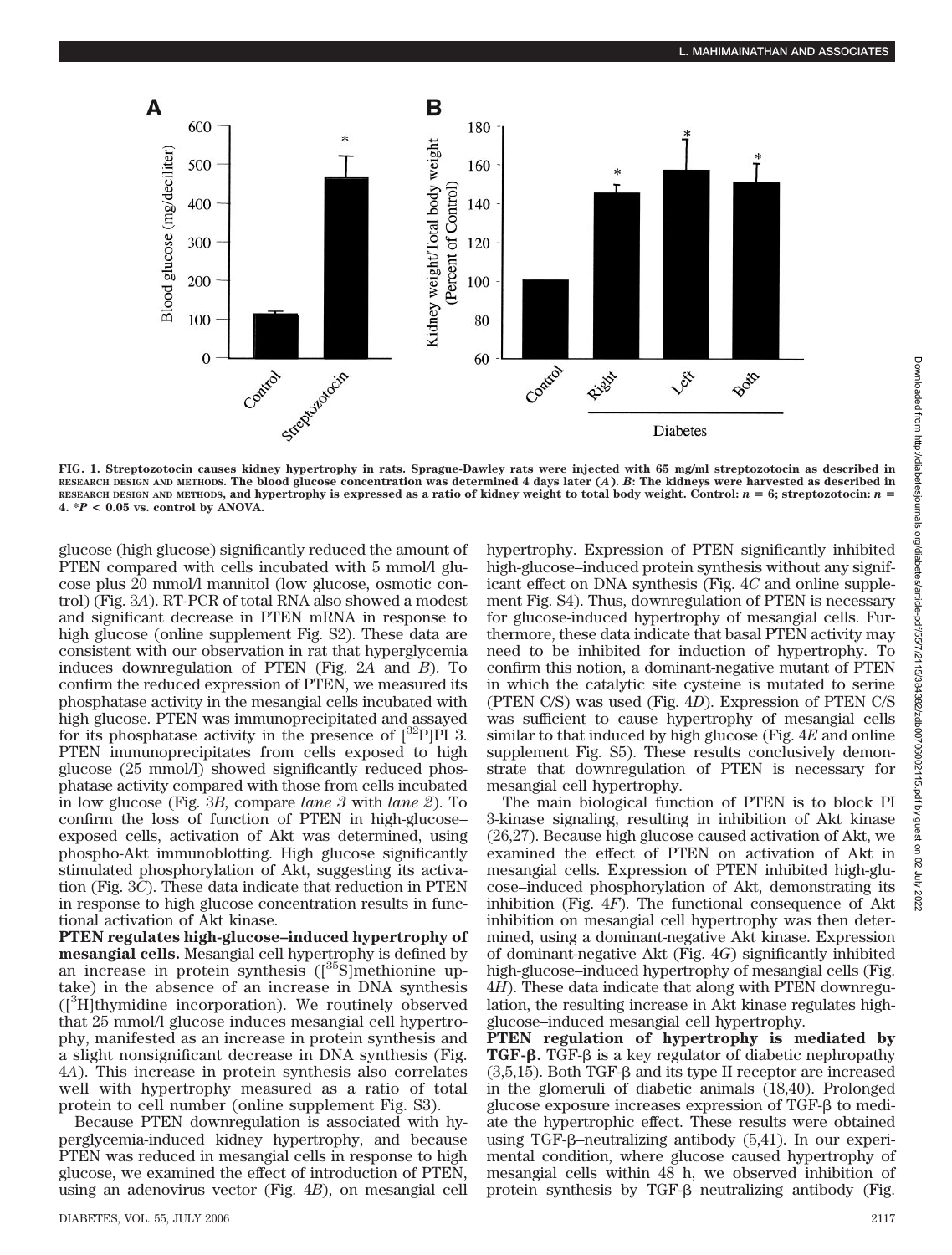

**FIG. 1. Streptozotocin causes kidney hypertrophy in rats. Sprague-Dawley rats were injected with 65 mg/ml streptozotocin as described in RESEARCH DESIGN AND METHODS. The blood glucose concentration was determined 4 days later (***A***).** *B***: The kidneys were harvested as described in** RESEARCH DESIGN AND METHODS, and hypertrophy is expressed as a ratio of kidney weight to total body weight. Control:  $n = 6$ ; streptozotocin:  $n =$  $4. *P < 0.05$  vs. control by ANOVA.

glucose (high glucose) significantly reduced the amount of PTEN compared with cells incubated with 5 mmol/l glucose plus 20 mmol/l mannitol (low glucose, osmotic control) (Fig. 3*A*). RT-PCR of total RNA also showed a modest and significant decrease in PTEN mRNA in response to high glucose (online supplement Fig. S2). These data are consistent with our observation in rat that hyperglycemia induces downregulation of PTEN (Fig. 2*A* and *B*). To confirm the reduced expression of PTEN, we measured its phosphatase activity in the mesangial cells incubated with high glucose. PTEN was immunoprecipitated and assayed for its phosphatase activity in the presence of  $[^{32}P]$ PI 3. PTEN immunoprecipitates from cells exposed to high glucose (25 mmol/l) showed significantly reduced phosphatase activity compared with those from cells incubated in low glucose (Fig. 3*B*, compare *lane 3* with *lane 2*). To confirm the loss of function of PTEN in high-glucose– exposed cells, activation of Akt was determined, using phospho-Akt immunoblotting. High glucose significantly stimulated phosphorylation of Akt, suggesting its activation (Fig. 3*C*). These data indicate that reduction in PTEN in response to high glucose concentration results in functional activation of Akt kinase.

**PTEN regulates high-glucose–induced hypertrophy of mesangial cells.** Mesangial cell hypertrophy is defined by an increase in protein synthesis  $({}^{35}S]$ methionine uptake) in the absence of an increase in DNA synthesis ([3 H]thymidine incorporation). We routinely observed that 25 mmol/l glucose induces mesangial cell hypertrophy, manifested as an increase in protein synthesis and a slight nonsignificant decrease in DNA synthesis (Fig. 4*A*). This increase in protein synthesis also correlates well with hypertrophy measured as a ratio of total protein to cell number (online supplement Fig. S3).

Because PTEN downregulation is associated with hyperglycemia-induced kidney hypertrophy, and because PTEN was reduced in mesangial cells in response to high glucose, we examined the effect of introduction of PTEN, using an adenovirus vector (Fig. 4*B*), on mesangial cell hypertrophy. Expression of PTEN significantly inhibited high-glucose–induced protein synthesis without any significant effect on DNA synthesis (Fig. 4*C* and online supplement Fig. S4). Thus, downregulation of PTEN is necessary for glucose-induced hypertrophy of mesangial cells. Furthermore, these data indicate that basal PTEN activity may need to be inhibited for induction of hypertrophy. To confirm this notion, a dominant-negative mutant of PTEN in which the catalytic site cysteine is mutated to serine (PTEN C/S) was used (Fig. 4*D*). Expression of PTEN C/S was sufficient to cause hypertrophy of mesangial cells similar to that induced by high glucose (Fig. 4*E* and online supplement Fig. S5). These results conclusively demonstrate that downregulation of PTEN is necessary for mesangial cell hypertrophy.

The main biological function of PTEN is to block PI 3-kinase signaling, resulting in inhibition of Akt kinase (26,27). Because high glucose caused activation of Akt, we examined the effect of PTEN on activation of Akt in mesangial cells. Expression of PTEN inhibited high-glucose–induced phosphorylation of Akt, demonstrating its inhibition (Fig. 4*F*). The functional consequence of Akt inhibition on mesangial cell hypertrophy was then determined, using a dominant-negative Akt kinase. Expression of dominant-negative Akt (Fig. 4*G*) significantly inhibited high-glucose–induced hypertrophy of mesangial cells (Fig. 4*H*). These data indicate that along with PTEN downregulation, the resulting increase in Akt kinase regulates highglucose–induced mesangial cell hypertrophy.

**PTEN regulation of hypertrophy is mediated by TGF-β.** TGF-β is a key regulator of diabetic nephropathy  $(3,5,15)$ . Both TGF- $\beta$  and its type II receptor are increased in the glomeruli of diabetic animals (18,40). Prolonged glucose exposure increases expression of  $TGF- $\beta$  to medi$ ate the hypertrophic effect. These results were obtained using TGF- $\beta$ -neutralizing antibody (5,41). In our experimental condition, where glucose caused hypertrophy of mesangial cells within 48 h, we observed inhibition of protein synthesis by TGF- $\beta$ -neutralizing antibody (Fig.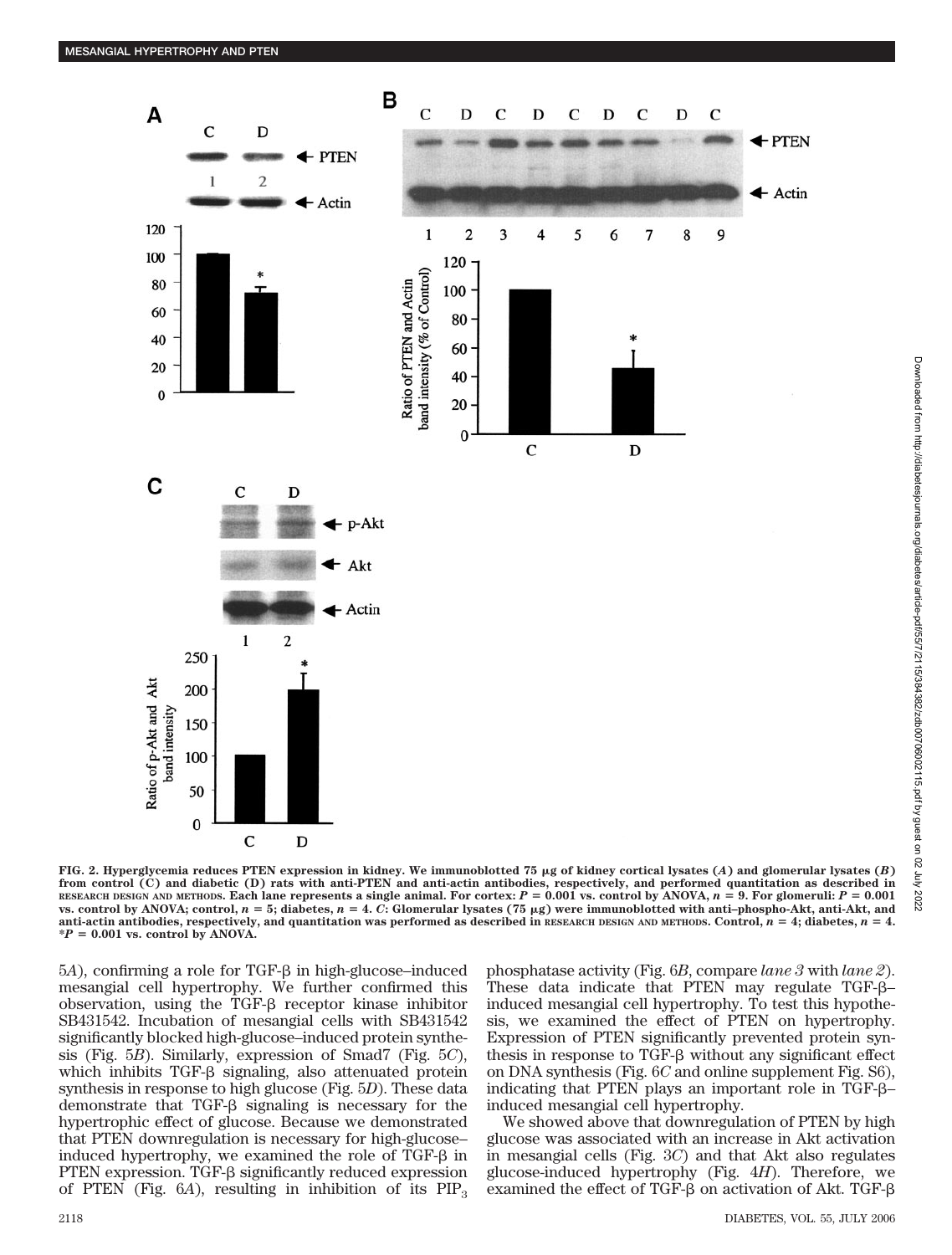

Downloaded from http://diabetesjournals.org/diabetes/article-pdf/55/7/2115/384382/zdb00706002115.pdf by guest on 02 July 2022 Downloaded from http://diabetesjournals.org/diabetes/article-pdf/55/7/2115/384382/zdb00706002115.pdf by guest on 02 July 2022

FIG. 2. Hyperglycemia reduces PTEN expression in kidney. We immunoblotted 75  $\mu$ g of kidney cortical lysates  $(A)$  and glomerular lysates  $(B)$ **from control (C) and diabetic (D) rats with anti-PTEN and anti-actin antibodies, respectively, and performed quantitation as described in** RESEARCH DESIGN AND METHODS. Each lane represents a single animal. For cortex:  $P = 0.001$  vs. control by ANOVA,  $n = 9$ . For glomeruli:  $P = 0.001$ vs. control by ANOVA; control,  $n = 5$ ; diabetes,  $n = 4$ . C: Glomerular lysates (75  $\mu$ g) were immunoblotted with anti-phospho-Akt, anti-Akt, and anti-actin antibodies, respectively, and quantitation was performed as described in  $RESEARCH$  DESIGN AND METHODS. Control,  $n = 4$ ; diabetes,  $n = 4$ .  $*P = 0.001$  vs. control by ANOVA.

 $5A$ ), confirming a role for TGF- $\beta$  in high-glucose-induced mesangial cell hypertrophy. We further confirmed this observation, using the TGF- $\beta$  receptor kinase inhibitor SB431542. Incubation of mesangial cells with SB431542 significantly blocked high-glucose–induced protein synthesis (Fig. 5*B*). Similarly, expression of Smad7 (Fig. 5*C*), which inhibits TGF- $\beta$  signaling, also attenuated protein synthesis in response to high glucose (Fig. 5*D*). These data demonstrate that  $TGF- $\beta$  signaling is necessary for the$ hypertrophic effect of glucose. Because we demonstrated that PTEN downregulation is necessary for high-glucose– induced hypertrophy, we examined the role of  $TGF- $\beta$  in$ PTEN expression. TGF- $\beta$  significantly reduced expression of PTEN (Fig.  $6A$ ), resulting in inhibition of its  $PIP_3$  phosphatase activity (Fig. 6*B*, compare *lane 3* with *lane 2*). These data indicate that PTEN may regulate TGF- $\beta$ – induced mesangial cell hypertrophy. To test this hypothesis, we examined the effect of PTEN on hypertrophy. Expression of PTEN significantly prevented protein synthesis in response to TGF- $\beta$  without any significant effect on DNA synthesis (Fig. 6*C* and online supplement Fig. S6), indicating that PTEN plays an important role in TGF- $\beta$ – induced mesangial cell hypertrophy.

We showed above that downregulation of PTEN by high glucose was associated with an increase in Akt activation in mesangial cells (Fig. 3*C*) and that Akt also regulates glucose-induced hypertrophy (Fig. 4*H*). Therefore, we examined the effect of TGF- $\beta$  on activation of Akt. TGF- $\beta$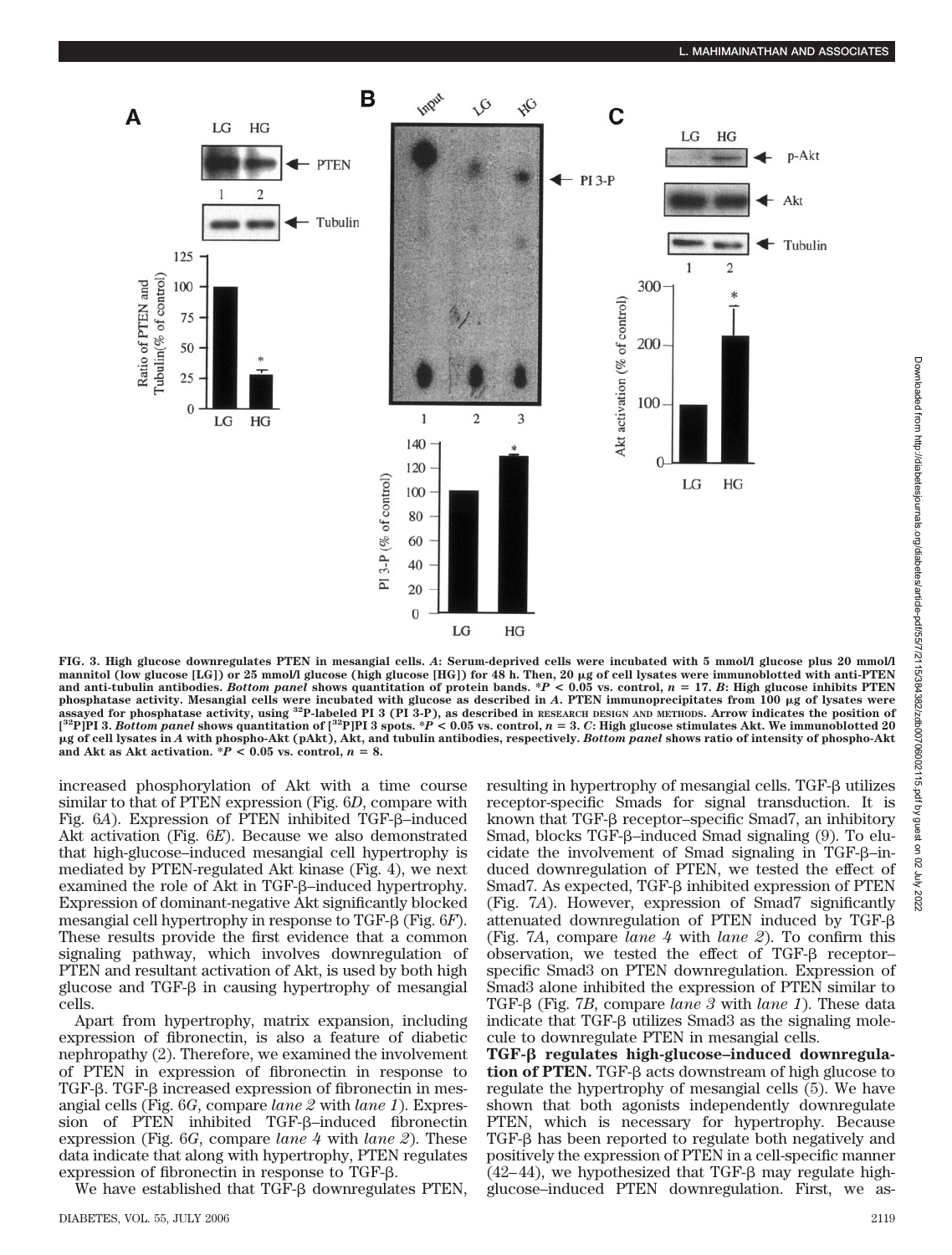

**FIG. 3. High glucose downregulates PTEN in mesangial cells.** *A***: Serum-deprived cells were incubated with 5 mmol/l glucose plus 20 mmol/l** mannitol (low glucose [LG]) or 25 mmol/l glucose (high glucose [HG]) for 48 h. Then, 20  $\mu$ g of cell lysates were immunoblotted with anti-PTEN **and anti-tubulin antibodies.** *Bottom panel* **shows quantitation of protein bands. \****P* **< 0.05 vs. control,** *n* - **17.** *B***: High glucose inhibits PTEN phosphatase activity. Mesangial cells were incubated with glucose as described in** *A***. PTEN immunoprecipitates from 100 g of lysates were assayed for phosphatase activity, using 32P-labeled PI 3 (PI 3-P), as described in RESEARCH DESIGN AND METHODS. Arrow indicates the position of**  $[^{32}\text{P}]$ PI 3. Bottom panel shows quantitation of  $[^{32}\text{P}]$ PI 3 spots.  $^*P$  < 0.05 vs. control, n = 3. C: High glucose stimulates Akt. We immunoblotted 20 **g of cell lysates in** *A* **with phospho-Akt (pAkt), Akt, and tubulin antibodies, respectively.** *Bottom panel* **shows ratio of intensity of phospho-Akt** and Akt as Akt activation.  ${}^*P$  < 0.05 vs. control,  $n = 8$ .

increased phosphorylation of Akt with a time course similar to that of PTEN expression (Fig. 6*D*, compare with Fig. 6*A*). Expression of PTEN inhibited TGF-β-induced Akt activation (Fig. 6*E*). Because we also demonstrated that high-glucose–induced mesangial cell hypertrophy is mediated by PTEN-regulated Akt kinase (Fig. 4), we next examined the role of Akt in TGF- $\beta$ -induced hypertrophy. Expression of dominant-negative Akt significantly blocked mesangial cell hypertrophy in response to TGF- $\beta$  (Fig. 6*F*). These results provide the first evidence that a common signaling pathway, which involves downregulation of PTEN and resultant activation of Akt, is used by both high glucose and TGF- $\beta$  in causing hypertrophy of mesangial cells.

Apart from hypertrophy, matrix expansion, including expression of fibronectin, is also a feature of diabetic nephropathy (2). Therefore, we examined the involvement of PTEN in expression of fibronectin in response to TGF- $\beta$ . TGF- $\beta$  increased expression of fibronectin in mesangial cells (Fig. 6*G*, compare *lane 2* with *lane 1*). Expression of PTEN inhibited TGF- $\beta$ -induced fibronectin expression (Fig. 6*G*, compare *lane 4* with *lane 2*). These data indicate that along with hypertrophy, PTEN regulates expression of fibronectin in response to TGF- $\beta$ .

We have established that TGF- $\beta$  downregulates PTEN,

resulting in hypertrophy of mesangial cells. TGF- $\beta$  utilizes receptor-specific Smads for signal transduction. It is known that TGF- $\beta$  receptor–specific Smad7, an inhibitory Smad, blocks TGF- $\beta$ -induced Smad signaling (9). To elucidate the involvement of Smad signaling in TGF- $\beta$ -induced downregulation of PTEN, we tested the effect of Smad7. As expected,  $TGF- $\beta$  inhibited expression of PTEN$ (Fig. 7*A*). However, expression of Smad7 significantly attenuated downregulation of PTEN induced by TGF- (Fig. 7*A*, compare *lane 4* with *lane 2*). To confirm this observation, we tested the effect of  $TGF- $\beta$  receptor$ specific Smad3 on PTEN downregulation. Expression of Smad3 alone inhibited the expression of PTEN similar to TGF-β (Fig. 7*B*, compare *lane 3* with *lane 1*). These data indicate that TGF- $\beta$  utilizes Smad3 as the signaling molecule to downregulate PTEN in mesangial cells.

TGF-β regulates high-glucose-induced downregula**tion of PTEN.** TGF-β acts downstream of high glucose to regulate the hypertrophy of mesangial cells (5). We have shown that both agonists independently downregulate PTEN, which is necessary for hypertrophy. Because  $TGF- $\beta$  has been reported to regulate both negatively and$ positively the expression of PTEN in a cell-specific manner  $(42-44)$ , we hypothesized that TGF- $\beta$  may regulate highglucose–induced PTEN downregulation. First, we as-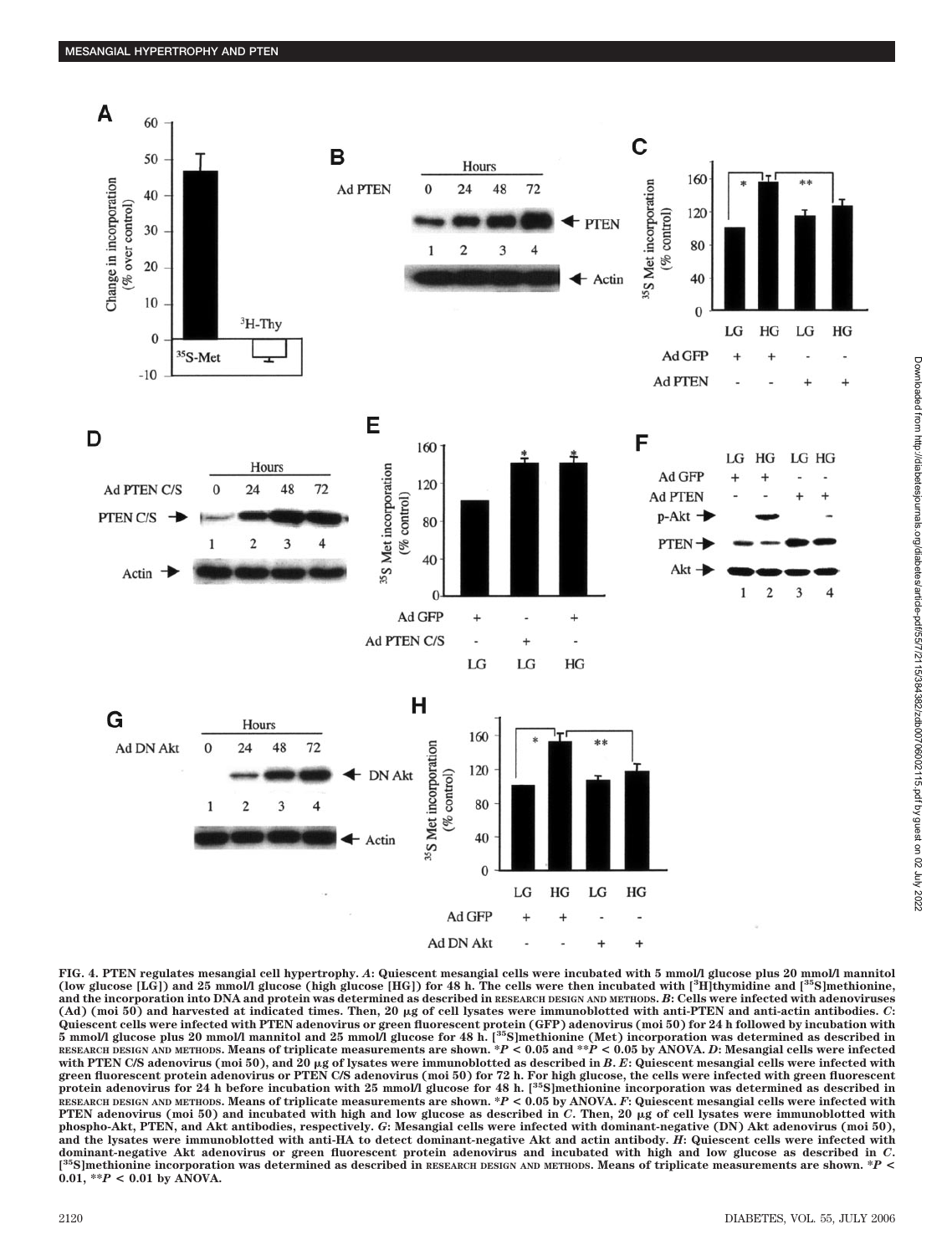

**FIG. 4. PTEN regulates mesangial cell hypertrophy.** *A***: Quiescent mesangial cells were incubated with 5 mmol/l glucose plus 20 mmol/l mannitol (low glucose [LG]) and 25 mmol/l glucose (high glucose [HG]) for 48 h. The cells were then incubated with [3 H]thymidine and [35S]methionine, and the incorporation into DNA and protein was determined as described in RESEARCH DESIGN AND METHODS.** *B***: Cells were infected with adenoviruses (Ad) (moi 50) and harvested at indicated times. Then, 20 g of cell lysates were immunoblotted with anti-PTEN and anti-actin antibodies.** *C***:** Quiescent cells were infected with PTEN adenovirus or green fluorescent protein (GFP) adenovirus (moi 50) for 24 h followed by incubation with<br>5 mmol/l glucose plus 20 mmol/l mannitol and 25 mmol/l glucose for 48 h. [<sup>35</sup>S **RESEARCH DESIGN AND METHODS. Means of triplicate measurements are shown. \****P* **< 0.05 and \*\****P* **< 0.05 by ANOVA.** *D***: Mesangial cells were infected** with PTEN C/S adenovirus (moi 50), and 20 μg of lysates were immunoblotted as described in B. E: Quiescent mesangial cells were infected with<br>green fluorescent protein adenovirus or PTEN C/S adenovirus (moi 50) for 72 h. **protein adenovirus for 24 h before incubation with 25 mmol/l glucose for 48 h. [35S]methionine incorporation was determined as described in RESEARCH DESIGN AND METHODS. Means of triplicate measurements are shown. \****P* **< 0.05 by ANOVA.** *F***: Quiescent mesangial cells were infected with** PTEN adenovirus (moi 50) and incubated with high and low glucose as described in *C*. Then, 20 µg of cell lysates were immunoblotted with **phospho-Akt, PTEN, and Akt antibodies, respectively.** *G***: Mesangial cells were infected with dominant-negative (DN) Akt adenovirus (moi 50), and the lysates were immunoblotted with anti-HA to detect dominant-negative Akt and actin antibody.** *H***: Quiescent cells were infected with dominant-negative Akt adenovirus or green fluorescent protein adenovirus and incubated with high and low glucose as described in** *C***. [ 35S]methionine incorporation was determined as described in RESEARCH DESIGN AND METHODS. Means of triplicate measurements are shown. \****P* **<** 0.01,  $*P < 0.01$  by ANOVA.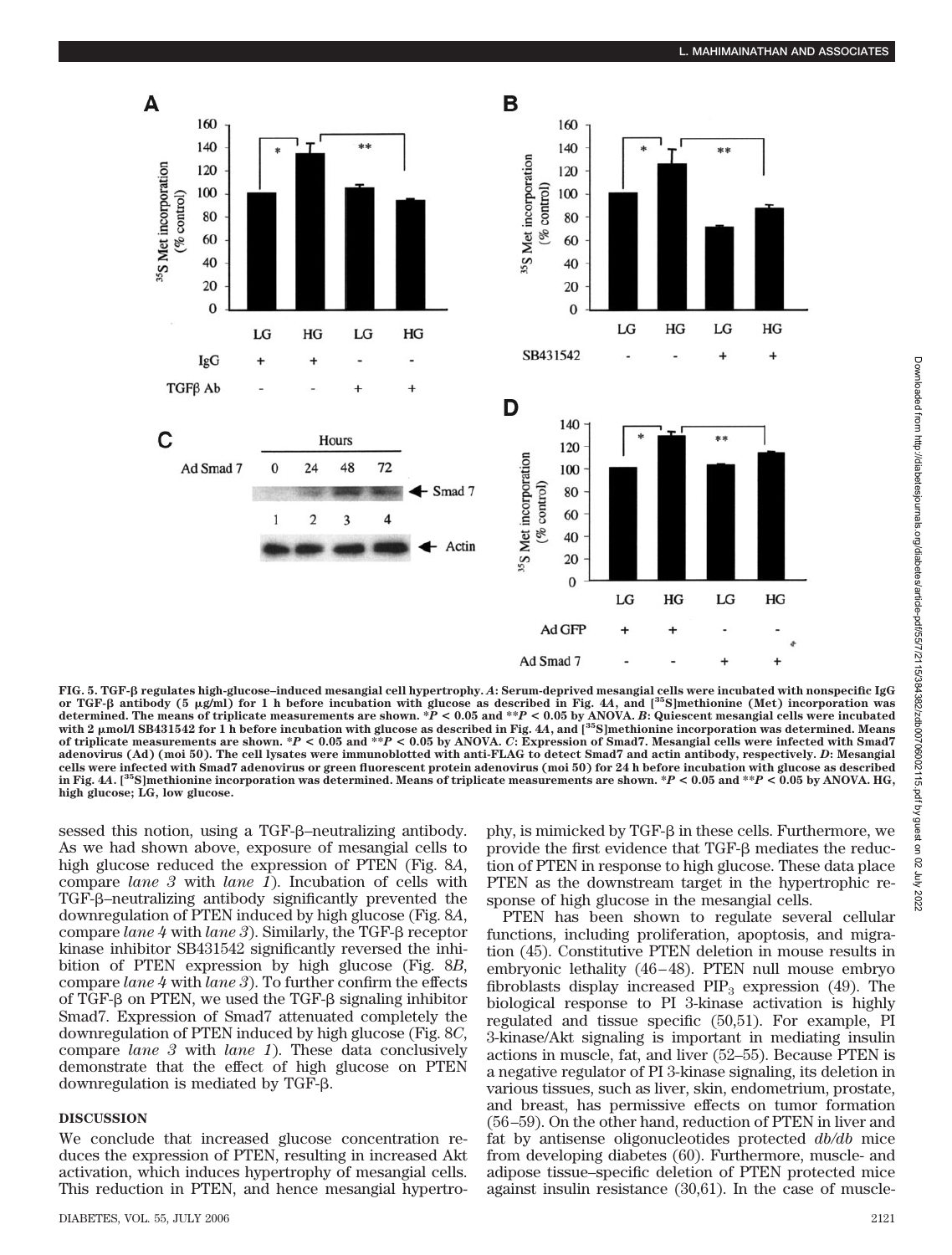

**FIG. 5. TGF- regulates high-glucose–induced mesangial cell hypertrophy.** *A***: Serum-deprived mesangial cells were incubated with nonspecific IgG** or TGF-β antibody (5 μg/ml) for 1 h before incubation with glucose as described in Fig. 4A, and [<sup>35</sup>S]methionine (Met) incorporation was<br>determined. The means of triplicate measurements are shown. \*P < 0.05 and \*\*P < 0.0 with 2 µmol/l SB431542 for 1 h before incubation with glucose as described in Fig. 4A, and [<sup>35</sup>S]methionine incorporation was determined. Means<br>of triplicate measurements are shown. \*P < 0.05 and \*\*P < 0.05 by ANOVA. *C*: **adenovirus (Ad) (moi 50). The cell lysates were immunoblotted with anti-FLAG to detect Smad7 and actin antibody, respectively.** *D***: Mesangial cells were infected with Smad7 adenovirus or green fluorescent protein adenovirus (moi 50) for 24 h before incubation with glucose as described in Fig. 4***A***. [35S]methionine incorporation was determined. Means of triplicate measurements are shown. \****P* **< 0.05 and \*\****P* **< 0.05 by ANOVA. HG, high glucose; LG, low glucose.**

sessed this notion, using a TGF- $\beta$ -neutralizing antibody. As we had shown above, exposure of mesangial cells to high glucose reduced the expression of PTEN (Fig. 8*A*, compare *lane 3* with *lane 1*). Incubation of cells with TGF- $\beta$ -neutralizing antibody significantly prevented the downregulation of PTEN induced by high glucose (Fig. 8*A*, compare *lane*  $4$  with *lane*  $3$ ). Similarly, the TGF- $\beta$  receptor kinase inhibitor SB431542 significantly reversed the inhibition of PTEN expression by high glucose (Fig. 8*B*, compare *lane 4* with *lane 3*). To further confirm the effects of TGF- $\beta$  on PTEN, we used the TGF- $\beta$  signaling inhibitor Smad7. Expression of Smad7 attenuated completely the downregulation of PTEN induced by high glucose (Fig. 8*C*, compare *lane 3* with *lane 1*). These data conclusively demonstrate that the effect of high glucose on PTEN downregulation is mediated by TGF- $\beta$ .

# **DISCUSSION**

We conclude that increased glucose concentration reduces the expression of PTEN, resulting in increased Akt activation, which induces hypertrophy of mesangial cells. This reduction in PTEN, and hence mesangial hypertrophy, is mimicked by  $TGF- $\beta$  in these cells. Furthermore, we$ provide the first evidence that TGF- $\beta$  mediates the reduction of PTEN in response to high glucose. These data place PTEN as the downstream target in the hypertrophic response of high glucose in the mesangial cells.

PTEN has been shown to regulate several cellular functions, including proliferation, apoptosis, and migration (45). Constitutive PTEN deletion in mouse results in embryonic lethality (46–48). PTEN null mouse embryo fibroblasts display increased  $PIP_3$  expression (49). The biological response to PI 3-kinase activation is highly regulated and tissue specific (50,51). For example, PI 3-kinase/Akt signaling is important in mediating insulin actions in muscle, fat, and liver (52–55). Because PTEN is a negative regulator of PI 3-kinase signaling, its deletion in various tissues, such as liver, skin, endometrium, prostate, and breast, has permissive effects on tumor formation (56–59). On the other hand, reduction of PTEN in liver and fat by antisense oligonucleotides protected *db/db* mice from developing diabetes (60). Furthermore, muscle- and adipose tissue–specific deletion of PTEN protected mice against insulin resistance (30,61). In the case of muscle-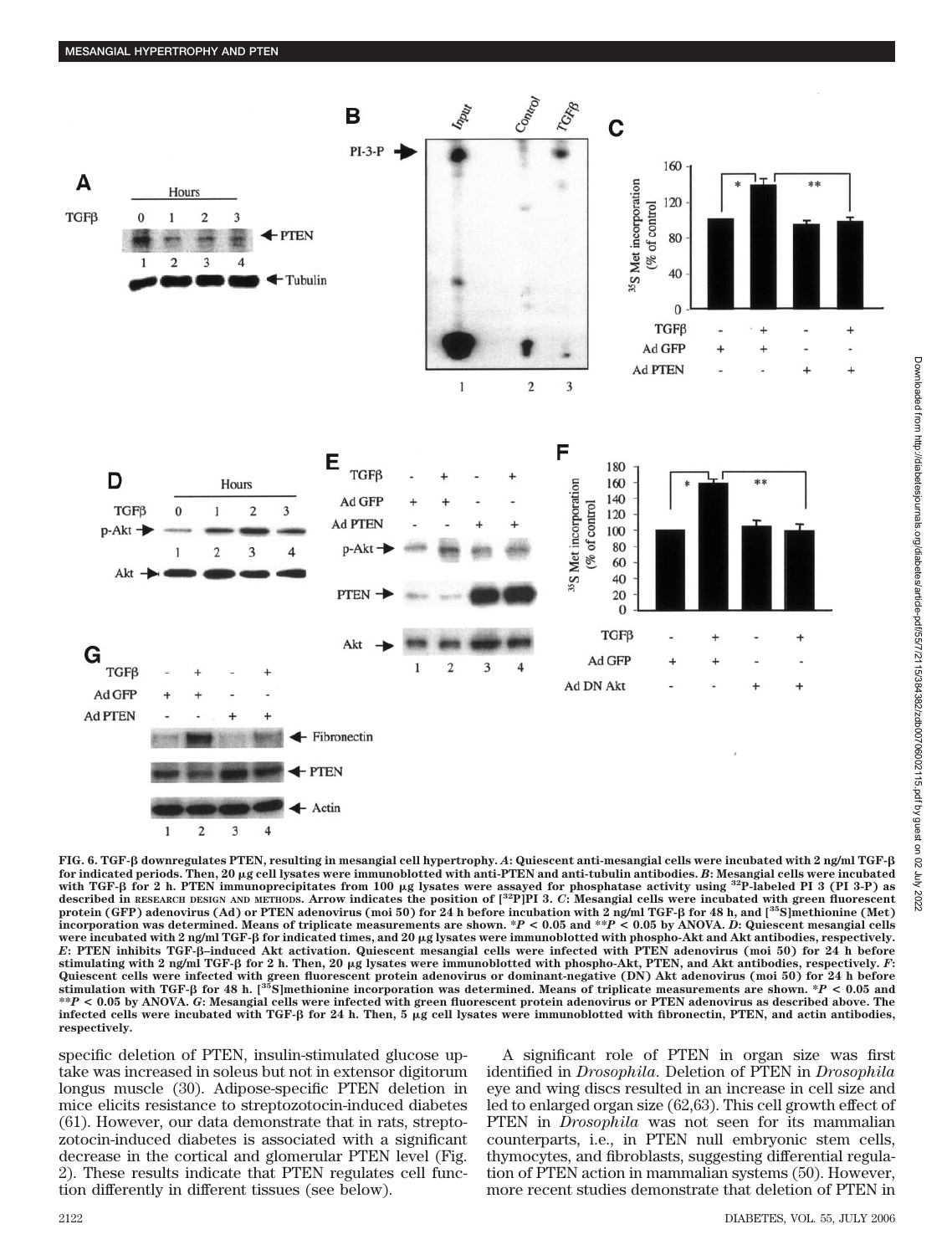

**FIG. 6. TGF- downregulates PTEN, resulting in mesangial cell hypertrophy.** *A***: Quiescent anti-mesangial cells were incubated with 2 ng/ml TGF for indicated periods. Then, 20 g cell lysates were immunoblotted with anti-PTEN and anti-tubulin antibodies.** *B***: Mesangial cells were incubated** with TGF-<sup>8</sup> for 2 h. PTEN immunoprecipitates from 100 µg lysates were assayed for phosphatase activity using <sup>32</sup>P-labeled PI 3 (PI 3-P) as **described in RESEARCH DESIGN AND METHODS. Arrow indicates the position of [32P]PI 3.** *C***: Mesangial cells were incubated with green fluorescent protein (GFP) adenovirus (Ad) or PTEN adenovirus (moi 50) for 24 h before incubation with 2 ng/ml TGF- for 48 h, and [35S]methionine (Met) incorporation was determined. Means of triplicate measurements are shown. \****P* **< 0.05 and \*\****P* **< 0.05 by ANOVA.** *D***: Quiescent mesangial cells** were incubated with 2 ng/ml TGF-β for indicated times, and 20 μg lysates were immunoblotted with phospho-Akt and Akt antibodies, respectively.<br>E: PTEN inhibits TGF-β–induced Akt activation. Quiescent mesangial cells were **stimulating with 2 ng/ml TGF- for 2 h. Then, 20 g lysates were immunoblotted with phospho-Akt, PTEN, and Akt antibodies, respectively.** *F***:** Quiescent cells were infected with green fluorescent protein adenovirus or dominant-negative (DN) Akt adenovirus (moi 50) for 24 h before<br>stimulation with TGF-β for 48 h. [<sup>35</sup>S]methionine incorporation was determined. Mea **\*\****P* **< 0.05 by ANOVA.** *G***: Mesangial cells were infected with green fluorescent protein adenovirus or PTEN adenovirus as described above. The** infected cells were incubated with TGF- $\beta$  for 24 h. Then, 5 µg cell lysates were immunoblotted with fibronectin, PTEN, and actin antibodies, **respectively.**

specific deletion of PTEN, insulin-stimulated glucose uptake was increased in soleus but not in extensor digitorum longus muscle (30). Adipose-specific PTEN deletion in mice elicits resistance to streptozotocin-induced diabetes (61). However, our data demonstrate that in rats, streptozotocin-induced diabetes is associated with a significant decrease in the cortical and glomerular PTEN level (Fig. 2). These results indicate that PTEN regulates cell function differently in different tissues (see below).

A significant role of PTEN in organ size was first identified in *Drosophila*. Deletion of PTEN in *Drosophila* eye and wing discs resulted in an increase in cell size and led to enlarged organ size (62,63). This cell growth effect of PTEN in *Drosophila* was not seen for its mammalian counterparts, i.e., in PTEN null embryonic stem cells, thymocytes, and fibroblasts, suggesting differential regulation of PTEN action in mammalian systems (50). However, more recent studies demonstrate that deletion of PTEN in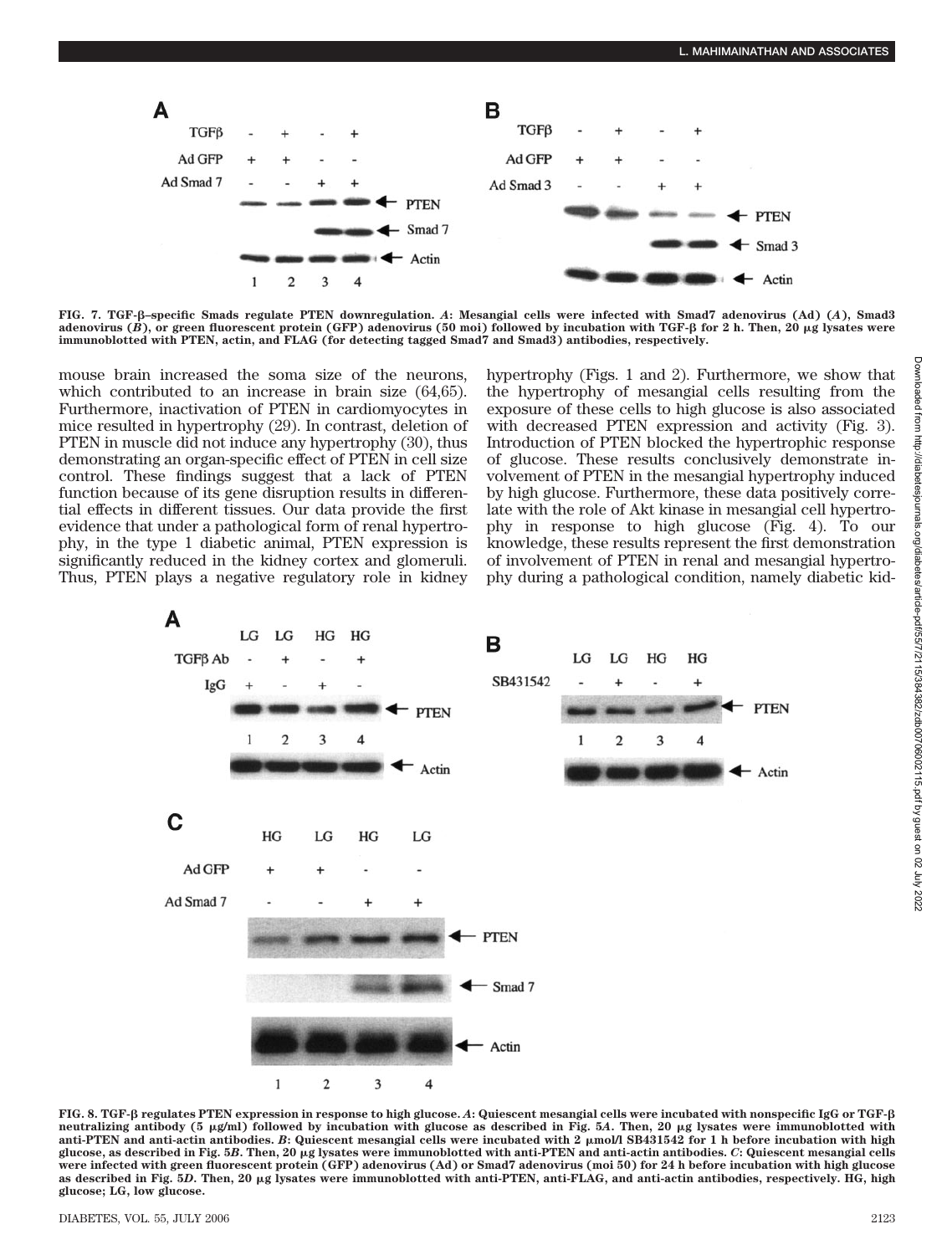

**FIG. 7. TGF-–specific Smads regulate PTEN downregulation.** *A***: Mesangial cells were infected with Smad7 adenovirus (Ad) (***A***), Smad3 adenovirus (***B***), or green fluorescent protein (GFP) adenovirus (50 moi) followed by incubation with TGF- for 2 h. Then, 20 g lysates were immunoblotted with PTEN, actin, and FLAG (for detecting tagged Smad7 and Smad3) antibodies, respectively.**

mouse brain increased the soma size of the neurons, which contributed to an increase in brain size (64,65). Furthermore, inactivation of PTEN in cardiomyocytes in mice resulted in hypertrophy (29). In contrast, deletion of PTEN in muscle did not induce any hypertrophy (30), thus demonstrating an organ-specific effect of PTEN in cell size control. These findings suggest that a lack of PTEN function because of its gene disruption results in differential effects in different tissues. Our data provide the first evidence that under a pathological form of renal hypertrophy, in the type 1 diabetic animal, PTEN expression is significantly reduced in the kidney cortex and glomeruli. Thus, PTEN plays a negative regulatory role in kidney

hypertrophy (Figs. 1 and 2). Furthermore, we show that the hypertrophy of mesangial cells resulting from the exposure of these cells to high glucose is also associated with decreased PTEN expression and activity (Fig. 3). Introduction of PTEN blocked the hypertrophic response of glucose. These results conclusively demonstrate involvement of PTEN in the mesangial hypertrophy induced by high glucose. Furthermore, these data positively correlate with the role of Akt kinase in mesangial cell hypertrophy in response to high glucose (Fig. 4). To our knowledge, these results represent the first demonstration of involvement of PTEN in renal and mesangial hypertrophy during a pathological condition, namely diabetic kid-



**FIG. 8. TGF- regulates PTEN expression in response to high glucose.** *A***: Quiescent mesangial cells were incubated with nonspecific IgG or TGF neutralizing antibody (5 g/ml) followed by incubation with glucose as described in Fig. 5***A***. Then, 20 g lysates were immunoblotted with anti-PTEN and anti-actin antibodies.** *B***: Quiescent mesangial cells were incubated with 2 mol/l SB431542 for 1 h before incubation with high glucose, as described in Fig. 5***B***. Then, 20 g lysates were immunoblotted with anti-PTEN and anti-actin antibodies.** *C***: Quiescent mesangial cells were infected with green fluorescent protein (GFP) adenovirus (Ad) or Smad7 adenovirus (moi 50) for 24 h before incubation with high glucose as described in Fig. 5***D***. Then, 20 g lysates were immunoblotted with anti-PTEN, anti-FLAG, and anti-actin antibodies, respectively. HG, high glucose; LG, low glucose.**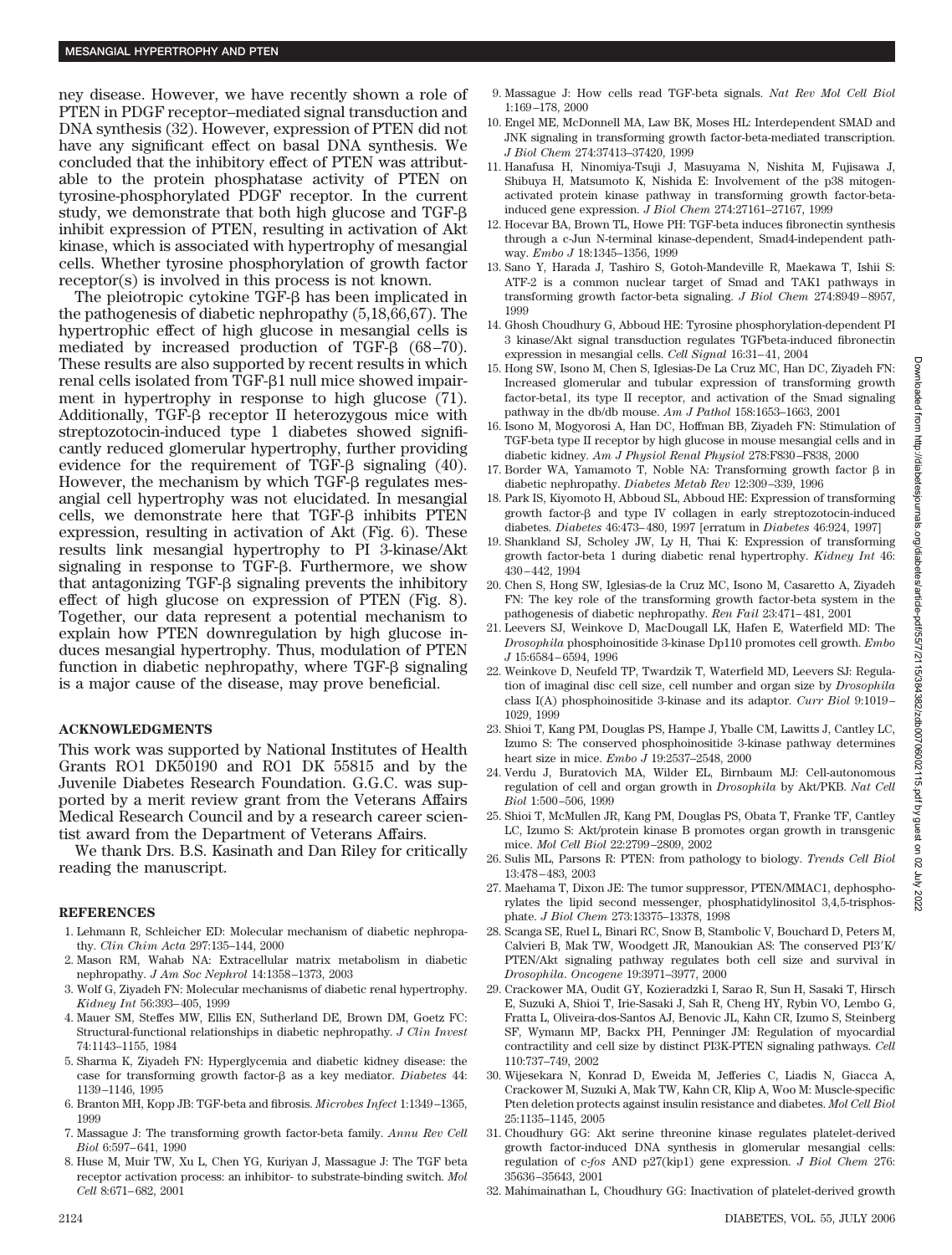ney disease. However, we have recently shown a role of PTEN in PDGF receptor–mediated signal transduction and DNA synthesis (32). However, expression of PTEN did not have any significant effect on basal DNA synthesis. We concluded that the inhibitory effect of PTEN was attributable to the protein phosphatase activity of PTEN on tyrosine-phosphorylated PDGF receptor. In the current study, we demonstrate that both high glucose and TGF inhibit expression of PTEN, resulting in activation of Akt kinase, which is associated with hypertrophy of mesangial cells. Whether tyrosine phosphorylation of growth factor receptor(s) is involved in this process is not known.

The pleiotropic cytokine TGF- $\beta$  has been implicated in the pathogenesis of diabetic nephropathy (5,18,66,67). The hypertrophic effect of high glucose in mesangial cells is mediated by increased production of TGF- $\beta$  (68–70). These results are also supported by recent results in which renal cells isolated from TGF- $\beta$ 1 null mice showed impairment in hypertrophy in response to high glucose (71). Additionally, TGF- $\beta$  receptor II heterozygous mice with streptozotocin-induced type 1 diabetes showed significantly reduced glomerular hypertrophy, further providing evidence for the requirement of TGF- $\beta$  signaling (40). However, the mechanism by which  $TGF- $\beta$  regulates mes$ angial cell hypertrophy was not elucidated. In mesangial cells, we demonstrate here that  $TGF- $\beta$  inhibits PTEN$ expression, resulting in activation of Akt (Fig. 6). These results link mesangial hypertrophy to PI 3-kinase/Akt signaling in response to TGF- $\beta$ . Furthermore, we show that antagonizing  $TGF- $\beta$  signaling prevents the inhibitory$ effect of high glucose on expression of PTEN (Fig. 8). Together, our data represent a potential mechanism to explain how PTEN downregulation by high glucose induces mesangial hypertrophy. Thus, modulation of PTEN function in diabetic nephropathy, where  $TGF- $\beta$  signaling$ is a major cause of the disease, may prove beneficial.

# **ACKNOWLEDGMENTS**

This work was supported by National Institutes of Health Grants RO1 DK50190 and RO1 DK 55815 and by the Juvenile Diabetes Research Foundation. G.G.C. was supported by a merit review grant from the Veterans Affairs Medical Research Council and by a research career scientist award from the Department of Veterans Affairs.

We thank Drs. B.S. Kasinath and Dan Riley for critically reading the manuscript.

#### **REFERENCES**

- 1. Lehmann R, Schleicher ED: Molecular mechanism of diabetic nephropathy. *Clin Chim Acta* 297:135–144, 2000
- 2. Mason RM, Wahab NA: Extracellular matrix metabolism in diabetic nephropathy. *J Am Soc Nephrol* 14:1358–1373, 2003
- 3. Wolf G, Ziyadeh FN: Molecular mechanisms of diabetic renal hypertrophy. *Kidney Int* 56:393–405, 1999
- 4. Mauer SM, Steffes MW, Ellis EN, Sutherland DE, Brown DM, Goetz FC: Structural-functional relationships in diabetic nephropathy. *J Clin Invest* 74:1143–1155, 1984
- 5. Sharma K, Ziyadeh FN: Hyperglycemia and diabetic kidney disease: the case for transforming growth factor- $\beta$  as a key mediator. *Diabetes* 44: 1139–1146, 1995
- 6. Branton MH, Kopp JB: TGF-beta and fibrosis. *Microbes Infect* 1:1349–1365, 1999
- 7. Massague J: The transforming growth factor-beta family. *Annu Rev Cell Biol* 6:597–641, 1990
- 8. Huse M, Muir TW, Xu L, Chen YG, Kuriyan J, Massague J: The TGF beta receptor activation process: an inhibitor- to substrate-binding switch. *Mol Cell* 8:671–682, 2001
- 9. Massague J: How cells read TGF-beta signals. *Nat Rev Mol Cell Biol* 1:169–178, 2000
- 10. Engel ME, McDonnell MA, Law BK, Moses HL: Interdependent SMAD and JNK signaling in transforming growth factor-beta-mediated transcription. *J Biol Chem* 274:37413–37420, 1999
- 11. Hanafusa H, Ninomiya-Tsuji J, Masuyama N, Nishita M, Fujisawa J, Shibuya H, Matsumoto K, Nishida E: Involvement of the p38 mitogenactivated protein kinase pathway in transforming growth factor-betainduced gene expression. *J Biol Chem* 274:27161–27167, 1999
- 12. Hocevar BA, Brown TL, Howe PH: TGF-beta induces fibronectin synthesis through a c-Jun N-terminal kinase-dependent, Smad4-independent pathway. *Embo J* 18:1345–1356, 1999
- 13. Sano Y, Harada J, Tashiro S, Gotoh-Mandeville R, Maekawa T, Ishii S: ATF-2 is a common nuclear target of Smad and TAK1 pathways in transforming growth factor-beta signaling. *J Biol Chem* 274:8949–8957, 1999
- 14. Ghosh Choudhury G, Abboud HE: Tyrosine phosphorylation-dependent PI 3 kinase/Akt signal transduction regulates TGFbeta-induced fibronectin expression in mesangial cells. *Cell Signal* 16:31–41, 2004
- 15. Hong SW, Isono M, Chen S, Iglesias-De La Cruz MC, Han DC, Ziyadeh FN: Increased glomerular and tubular expression of transforming growth factor-beta1, its type II receptor, and activation of the Smad signaling pathway in the db/db mouse. *Am J Pathol* 158:1653–1663, 2001
- 16. Isono M, Mogyorosi A, Han DC, Hoffman BB, Ziyadeh FN: Stimulation of TGF-beta type II receptor by high glucose in mouse mesangial cells and in diabetic kidney. *Am J Physiol Renal Physiol* 278:F830–F838, 2000
- 17. Border WA, Yamamoto T, Noble NA: Transforming growth factor  $\beta$  in diabetic nephropathy. *Diabetes Metab Rev* 12:309–339, 1996
- 18. Park IS, Kiyomoto H, Abboud SL, Abboud HE: Expression of transforming growth factor- $\beta$  and type IV collagen in early streptozotocin-induced diabetes. *Diabetes* 46:473–480, 1997 [erratum in *Diabetes* 46:924, 1997]
- 19. Shankland SJ, Scholey JW, Ly H, Thai K: Expression of transforming growth factor-beta 1 during diabetic renal hypertrophy. *Kidney Int* 46: 430–442, 1994
- 20. Chen S, Hong SW, Iglesias-de la Cruz MC, Isono M, Casaretto A, Ziyadeh FN: The key role of the transforming growth factor-beta system in the pathogenesis of diabetic nephropathy. *Ren Fail* 23:471–481, 2001
- 21. Leevers SJ, Weinkove D, MacDougall LK, Hafen E, Waterfield MD: The *Drosophila* phosphoinositide 3-kinase Dp110 promotes cell growth. *Embo J* 15:6584–6594, 1996
- 22. Weinkove D, Neufeld TP, Twardzik T, Waterfield MD, Leevers SJ: Regulation of imaginal disc cell size, cell number and organ size by *Drosophila* class I(A) phosphoinositide 3-kinase and its adaptor. *Curr Biol* 9:1019– 1029, 1999
- 23. Shioi T, Kang PM, Douglas PS, Hampe J, Yballe CM, Lawitts J, Cantley LC, Izumo S: The conserved phosphoinositide 3-kinase pathway determines heart size in mice. *Embo J* 19:2537–2548, 2000
- 24. Verdu J, Buratovich MA, Wilder EL, Birnbaum MJ: Cell-autonomous regulation of cell and organ growth in *Drosophila* by Akt/PKB. *Nat Cell Biol* 1:500–506, 1999
- 25. Shioi T, McMullen JR, Kang PM, Douglas PS, Obata T, Franke TF, Cantley LC, Izumo S: Akt/protein kinase B promotes organ growth in transgenic mice. *Mol Cell Biol* 22:2799–2809, 2002
- 26. Sulis ML, Parsons R: PTEN: from pathology to biology. *Trends Cell Biol* 13:478–483, 2003
- 27. Maehama T, Dixon JE: The tumor suppressor, PTEN/MMAC1, dephosphorylates the lipid second messenger, phosphatidylinositol 3,4,5-trisphosphate. *J Biol Chem* 273:13375–13378, 1998
- 28. Scanga SE, Ruel L, Binari RC, Snow B, Stambolic V, Bouchard D, Peters M, Calvieri B, Mak TW, Woodgett JR, Manoukian AS: The conserved PI3K/ PTEN/Akt signaling pathway regulates both cell size and survival in *Drosophila*. *Oncogene* 19:3971–3977, 2000
- 29. Crackower MA, Oudit GY, Kozieradzki I, Sarao R, Sun H, Sasaki T, Hirsch E, Suzuki A, Shioi T, Irie-Sasaki J, Sah R, Cheng HY, Rybin VO, Lembo G, Fratta L, Oliveira-dos-Santos AJ, Benovic JL, Kahn CR, Izumo S, Steinberg SF, Wymann MP, Backx PH, Penninger JM: Regulation of myocardial contractility and cell size by distinct PI3K-PTEN signaling pathways. *Cell* 110:737–749, 2002
- 30. Wijesekara N, Konrad D, Eweida M, Jefferies C, Liadis N, Giacca A, Crackower M, Suzuki A, Mak TW, Kahn CR, Klip A, Woo M: Muscle-specific Pten deletion protects against insulin resistance and diabetes. *Mol Cell Biol* 25:1135–1145, 2005
- 31. Choudhury GG: Akt serine threonine kinase regulates platelet-derived growth factor-induced DNA synthesis in glomerular mesangial cells: regulation of c-*fos* AND p27(kip1) gene expression. *J Biol Chem* 276: 35636–35643, 2001
- 32. Mahimainathan L, Choudhury GG: Inactivation of platelet-derived growth